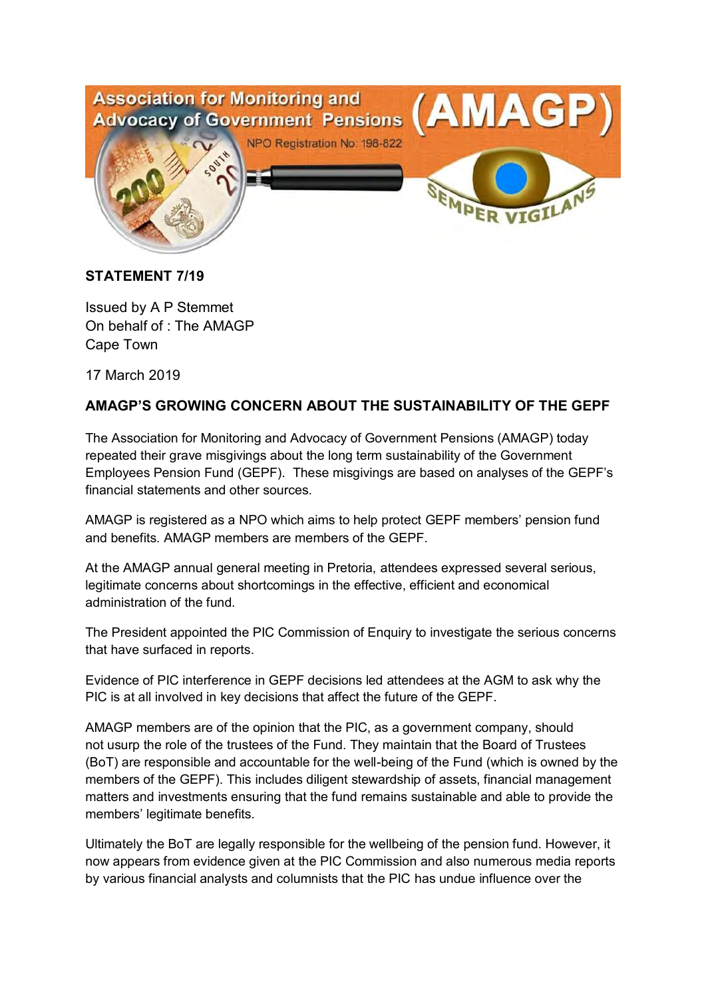

## **STATEMENT 7/19**

Issued by A P Stemmet On behalf of : The AMAGP Cape Town

17 March 2019

## **AMAGP'S GROWING CONCERN ABOUT THE SUSTAINABILITY OF THE GEPF**

The Association for Monitoring and Advocacy of Government Pensions (AMAGP) today repeated their grave misgivings about the long term sustainability of the Government Employees Pension Fund (GEPF). These misgivings are based on analyses of the GEPF's financial statements and other sources.

AMAGP is registered as a NPO which aims to help protect GEPF members' pension fund and benefits. AMAGP members are members of the GEPF.

At the AMAGP annual general meeting in Pretoria, attendees expressed several serious, legitimate concerns about shortcomings in the effective, efficient and economical administration of the fund.

The President appointed the PIC Commission of Enquiry to investigate the serious concerns that have surfaced in reports.

Evidence of PIC interference in GEPF decisions led attendees at the AGM to ask why the PIC is at all involved in key decisions that affect the future of the GEPF.

AMAGP members are of the opinion that the PIC, as a government company, should not usurp the role of the trustees of the Fund. They maintain that the Board of Trustees (BoT) are responsible and accountable for the well-being of the Fund (which is owned by the members of the GEPF). This includes diligent stewardship of assets, financial management matters and investments ensuring that the fund remains sustainable and able to provide the members' legitimate benefits.

Ultimately the BoT are legally responsible for the wellbeing of the pension fund. However, it now appears from evidence given at the PIC Commission and also numerous media reports by various financial analysts and columnists that the PIC has undue influence over the